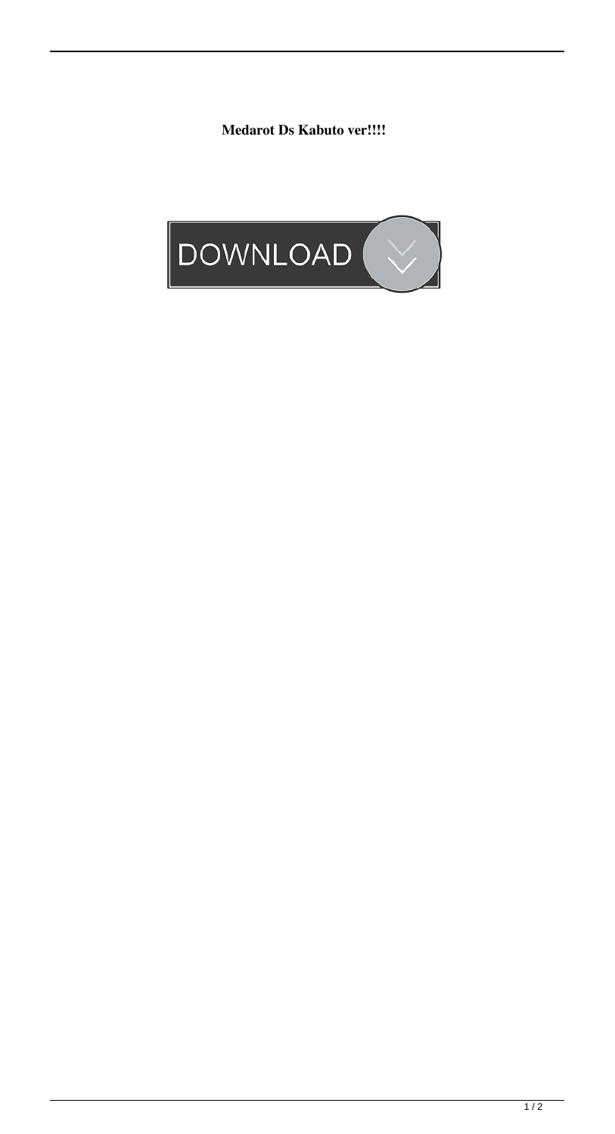**Medarot Ds Kabuto ver!!!!**